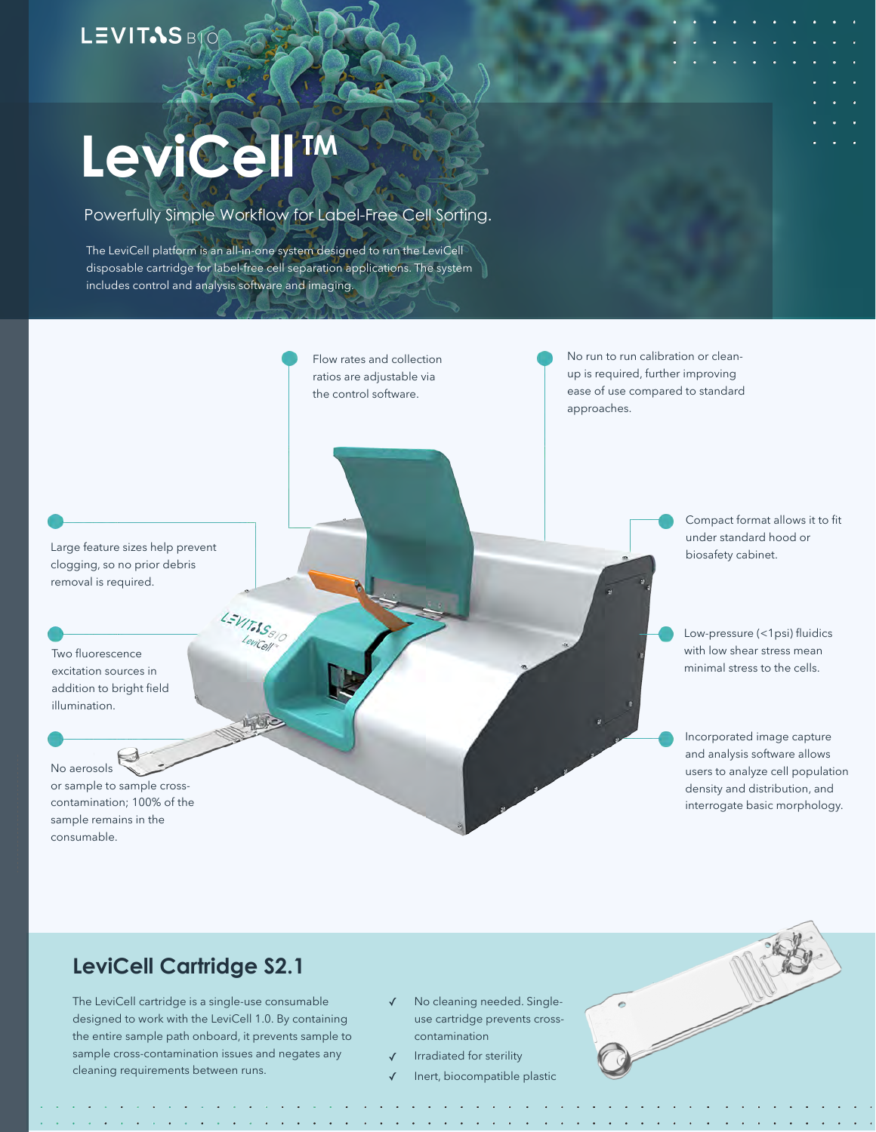# **LEVITAS BIC**

# LeviCell<sup>IM</sup>

#### Powerfully Simple Workflow for Label-Free Cell Sorting.

The LeviCell platform is an all-in-one system designed to run the LeviCell disposable cartridge for label-free cell separation applications. The system includes control and analysis software and imaging.

LEVIT.SS810

جالاتها

Flow rates and collection ratios are adjustable via the control software.

No run to run calibration or cleanup is required, further improving ease of use compared to standard approaches.

Large feature sizes help prevent clogging, so no prior debris removal is required.

Two fluorescence excitation sources in addition to bright field illumination.

No aerosols or sample to sample crosscontamination; 100% of the sample remains in the consumable.

Compact format allows it to fit under standard hood or biosafety cabinet.

Low-pressure (<1psi) fluidics with low shear stress mean minimal stress to the cells.

Incorporated image capture and analysis software allows users to analyze cell population density and distribution, and interrogate basic morphology.

#### **LeviCell Cartridge S2.1**

The LeviCell cartridge is a single-use consumable designed to work with the LeviCell 1.0. By containing the entire sample path onboard, it prevents sample to sample cross-contamination issues and negates any cleaning requirements between runs.

- ✓ No cleaning needed. Singleuse cartridge prevents crosscontamination
- Irradiated for sterility
- ✓ Inert, biocompatible plastic